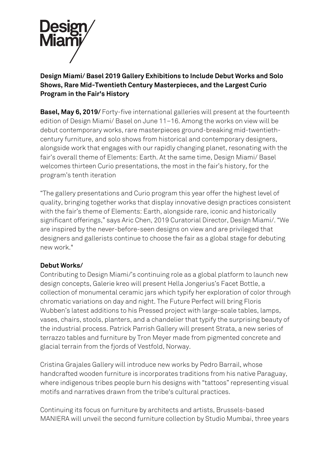

# **Design Miami/ Basel 2019 Gallery Exhibitions to Include Debut Works and Solo Shows, Rare Mid-Twentieth Century Masterpieces, and the Largest Curio Program in the Fair's History**

**Basel, May 6, 2019/** Forty-five international galleries will present at the fourteenth edition of Design Miami/ Basel on June 11–16. Among the works on view will be debut contemporary works, rare masterpieces ground-breaking mid-twentiethcentury furniture, and solo shows from historical and contemporary designers, alongside work that engages with our rapidly changing planet, resonating with the fair's overall theme of Elements: Earth. At the same time, Design Miami/ Basel welcomes thirteen Curio presentations, the most in the fair's history, for the program's tenth iteration

"The gallery presentations and Curio program this year offer the highest level of quality, bringing together works that display innovative design practices consistent with the fair's theme of Elements: Earth, alongside rare, iconic and historically significant offerings," says Aric Chen, 2019 Curatorial Director, Design Miami/. "We are inspired by the never-before-seen designs on view and are privileged that designers and gallerists continue to choose the fair as a global stage for debuting new work."

## **Debut Works/**

Contributing to Design Miami/'s continuing role as a global platform to launch new design concepts, Galerie kreo will present Hella Jongerius's Facet Bottle, a collection of monumental ceramic jars which typify her exploration of color through chromatic variations on day and night. The Future Perfect will bring Floris Wubben's latest additions to his Pressed project with large-scale tables, lamps, vases, chairs, stools, planters, and a chandelier that typify the surprising beauty of the industrial process. Patrick Parrish Gallery will present Strata, a new series of terrazzo tables and furniture by Tron Meyer made from pigmented concrete and glacial terrain from the fjords of Vestfold, Norway.

Cristina Grajales Gallery will introduce new works by Pedro Barrail, whose handcrafted wooden furniture is incorporates traditions from his native Paraguay, where indigenous tribes people burn his designs with "tattoos" representing visual motifs and narratives drawn from the tribe's cultural practices.

Continuing its focus on furniture by architects and artists, Brussels-based MANIERA will unveil the second furniture collection by Studio Mumbai, three years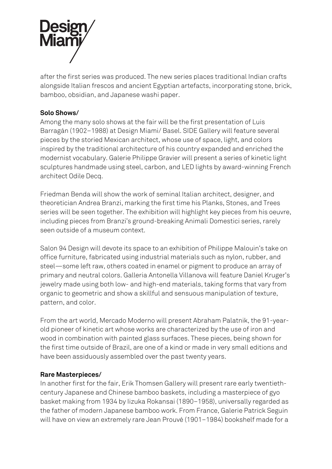

after the first series was produced. The new series places traditional Indian crafts alongside Italian frescos and ancient Egyptian artefacts, incorporating stone, brick, bamboo, obsidian, and Japanese washi paper.

## **Solo Shows/**

Among the many solo shows at the fair will be the first presentation of Luis Barragán (1902–1988) at Design Miami/ Basel. SIDE Gallery will feature several pieces by the storied Mexican architect, whose use of space, light, and colors inspired by the traditional architecture of his country expanded and enriched the modernist vocabulary. Galerie Philippe Gravier will present a series of kinetic light sculptures handmade using steel, carbon, and LED lights by award-winning French architect Odile Decq.

Friedman Benda will show the work of seminal Italian architect, designer, and theoretician Andrea Branzi, marking the first time his Planks, Stones, and Trees series will be seen together. The exhibition will highlight key pieces from his oeuvre, including pieces from Branzi's ground-breaking Animali Domestici series, rarely seen outside of a museum context.

Salon 94 Design will devote its space to an exhibition of Philippe Malouin's take on office furniture, fabricated using industrial materials such as nylon, rubber, and steel—some left raw, others coated in enamel or pigment to produce an array of primary and neutral colors. Galleria Antonella Villanova will feature Daniel Kruger's jewelry made using both low- and high-end materials, taking forms that vary from organic to geometric and show a skillful and sensuous manipulation of texture, pattern, and color.

From the art world, Mercado Moderno will present Abraham Palatnik, the 91-yearold pioneer of kinetic art whose works are characterized by the use of iron and wood in combination with painted glass surfaces. These pieces, being shown for the first time outside of Brazil, are one of a kind or made in very small editions and have been assiduously assembled over the past twenty years.

#### **Rare Masterpieces/**

In another first for the fair, Erik Thomsen Gallery will present rare early twentiethcentury Japanese and Chinese bamboo baskets, including a masterpiece of gyo basket making from 1934 by Iizuka Rokansai (1890–1958), universally regarded as the father of modern Japanese bamboo work. From France, Galerie Patrick Seguin will have on view an extremely rare Jean Prouvé (1901–1984) bookshelf made for a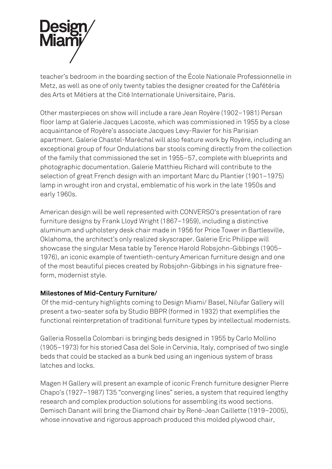

teacher's bedroom in the boarding section of the École Nationale Professionnelle in Metz, as well as one of only twenty tables the designer created for the Cafétéria des Arts et Métiers at the Cité Internationale Universitaire, Paris.

Other masterpieces on show will include a rare Jean Royère (1902–1981) Persan floor lamp at Galerie Jacques Lacoste, which was commissioned in 1955 by a close acquaintance of Royère's associate Jacques Levy-Ravier for his Parisian apartment. Galerie Chastel-Maréchal will also feature work by Royère, including an exceptional group of four Ondulations bar stools coming directly from the collection of the family that commissioned the set in 1955–57, complete with blueprints and photographic documentation. Galerie Matthieu Richard will contribute to the selection of great French design with an important Marc du Plantier (1901–1975) lamp in wrought iron and crystal, emblematic of his work in the late 1950s and early 1960s.

American design will be well represented with CONVERSO's presentation of rare furniture designs by Frank Lloyd Wright (1867–1959), including a distinctive aluminum and upholstery desk chair made in 1956 for Price Tower in Bartlesville, Oklahoma, the architect's only realized skyscraper. Galerie Eric Philippe will showcase the singular Mesa table by Terence Harold Robsjohn-Gibbings (1905– 1976), an iconic example of twentieth-century American furniture design and one of the most beautiful pieces created by Robsjohn-Gibbings in his signature freeform, modernist style.

#### **Milestones of Mid-Century Furniture/**

Of the mid-century highlights coming to Design Miami/ Basel, Nilufar Gallery will present a two-seater sofa by Studio BBPR (formed in 1932) that exemplifies the functional reinterpretation of traditional furniture types by intellectual modernists.

Galleria Rossella Colombari is bringing beds designed in 1955 by Carlo Mollino (1905–1973) for his storied Casa del Sole in Cervinia, Italy, comprised of two single beds that could be stacked as a bunk bed using an ingenious system of brass latches and locks.

Magen H Gallery will present an example of iconic French furniture designer Pierre Chapo's (1927–1987) T35 "converging lines" series, a system that required lengthy research and complex production solutions for assembling its wood sections. Demisch Danant will bring the Diamond chair by René-Jean Caillette (1919–2005), whose innovative and rigorous approach produced this molded plywood chair,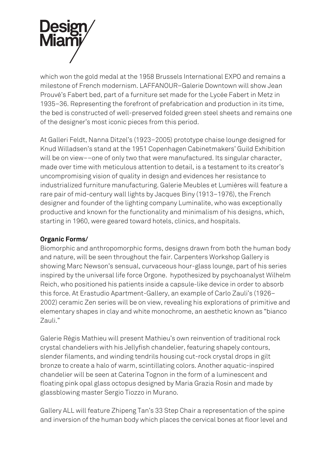

which won the gold medal at the 1958 Brussels International EXPO and remains a milestone of French modernism. LAFFANOUR–Galerie Downtown will show Jean Prouvé's Fabert bed, part of a furniture set made for the Lycée Fabert in Metz in 1935–36. Representing the forefront of prefabrication and production in its time, the bed is constructed of well-preserved folded green steel sheets and remains one of the designer's most iconic pieces from this period.

At Galleri Feldt, Nanna Ditzel's (1923–2005) prototype chaise lounge designed for Knud Willadsen's stand at the 1951 Copenhagen Cabinetmakers' Guild Exhibition will be on view––one of only two that were manufactured. Its singular character, made over time with meticulous attention to detail, is a testament to its creator's uncompromising vision of quality in design and evidences her resistance to industrialized furniture manufacturing. Galerie Meubles et Lumières will feature a rare pair of mid-century wall lights by Jacques Biny (1913–1976), the French designer and founder of the lighting company Luminalite, who was exceptionally productive and known for the functionality and minimalism of his designs, which, starting in 1960, were geared toward hotels, clinics, and hospitals.

## **Organic Forms/**

Biomorphic and anthropomorphic forms, designs drawn from both the human body and nature, will be seen throughout the fair. Carpenters Workshop Gallery is showing Marc Newson's sensual, curvaceous hour-glass lounge, part of his series inspired by the universal life force Orgone. hypothesized by psychoanalyst Wilhelm Reich, who positioned his patients inside a capsule-like device in order to absorb this force. At Erastudio Apartment-Gallery, an example of Carlo Zauli's (1926– 2002) ceramic Zen series will be on view, revealing his explorations of primitive and elementary shapes in clay and white monochrome, an aesthetic known as "bianco Zauli."

Galerie Régis Mathieu will present Mathieu's own reinvention of traditional rock crystal chandeliers with his Jellyfish chandelier, featuring shapely contours, slender filaments, and winding tendrils housing cut-rock crystal drops in gilt bronze to create a halo of warm, scintillating colors. Another aquatic-inspired chandelier will be seen at Caterina Tognon in the form of a luminescent and floating pink opal glass octopus designed by Maria Grazia Rosin and made by glassblowing master Sergio Tiozzo in Murano.

Gallery ALL will feature Zhipeng Tan's 33 Step Chair a representation of the spine and inversion of the human body which places the cervical bones at floor level and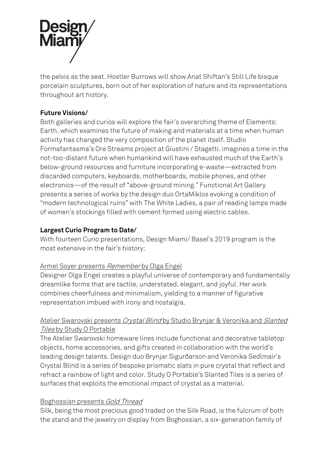

the pelvis as the seat. Hostler Burrows will show Anat Shiftan's Still Life bisque porcelain sculptures, born out of her exploration of nature and its representations throughout art history.

# **Future Visions/**

Both galleries and curios will explore the fair's overarching theme of Elements: Earth, which examines the future of making and materials at a time when human activity has changed the very composition of the planet itself. Studio Formafantasma's Ore Streams project at Giustini / Stagetti. imagines a time in the not-too-distant future when humankind will have exhausted much of the Earth's below-ground resources and furniture incorporating e-waste—extracted from discarded computers, keyboards, motherboards, mobile phones, and other electronics—of the result of "above-ground mining." Functional Art Gallery presents a series of works by the design duo OrtaMiklos evoking a condition of "modern technological ruins" with The White Ladies, a pair of reading lamps made of women's stockings filled with cement formed using electric cables.

# **Largest Curio Program to Date/**

With fourteen Curio presentations, Design Miami/ Basel's 2019 program is the most extensive in the fair's history:

## Armel Soyer presents Remember by Olga Engel

Designer Olga Engel creates a playful universe of contemporary and fundamentally dreamlike forms that are tactile, understated, elegant, and joyful. Her work combines cheerfulness and minimalism, yielding to a manner of figurative representation imbued with irony and nostalgia.

# Atelier Swarovski presents Crystal Blind by Studio Brynjar & Veronika and Slanted Tiles by Study O Portable

The Atelier Swarovski homeware lines include functional and decorative tabletop objects, home accessories, and gifts created in collaboration with the world's leading design talents. Design duo Brynjar Sigurðarson and Veronika Sedlmair's Crystal Blind is a series of bespoke prismatic slats in pure crystal that reflect and refract a rainbow of light and color. Study O Portable's Slanted Tiles is a series of surfaces that exploits the emotional impact of crystal as a material.

## Boghossian presents Gold Thread

Silk, being the most precious good traded on the Silk Road, is the fulcrum of both the stand and the jewelry on display from Boghossian, a six-generation family of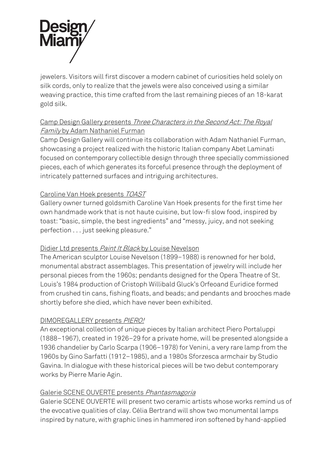

jewelers. Visitors will first discover a modern cabinet of curiosities held solely on silk cords, only to realize that the jewels were also conceived using a similar weaving practice, this time crafted from the last remaining pieces of an 18-karat gold silk.

# Camp Design Gallery presents Three Characters in the Second Act: The Royal Family by Adam Nathaniel Furman

Camp Design Gallery will continue its collaboration with Adam Nathaniel Furman, showcasing a project realized with the historic Italian company Abet Laminati focused on contemporary collectible design through three specially commissioned pieces, each of which generates its forceful presence through the deployment of intricately patterned surfaces and intriguing architectures.

## Caroline Van Hoek presents TOAST

Gallery owner turned goldsmith Caroline Van Hoek presents for the first time her own handmade work that is not haute cuisine, but low-fi slow food, inspired by toast: "basic, simple, the best ingredients" and "messy, juicy, and not seeking perfection . . . just seeking pleasure."

## Didier Ltd presents *Paint It Black* by Louise Nevelson

The American sculptor Louise Nevelson (1899–1988) is renowned for her bold, monumental abstract assemblages. This presentation of jewelry will include her personal pieces from the 1960s; pendants designed for the Opera Theatre of St. Louis's 1984 production of Cristoph Willibald Gluck's Orfeoand Euridice formed from crushed tin cans, fishing floats, and beads; and pendants and brooches made shortly before she died, which have never been exhibited.

## DIMOREGALLERY presents PIERO!

An exceptional collection of unique pieces by Italian architect Piero Portaluppi (1888–1967), created in 1926–29 for a private home, will be presented alongside a 1936 chandelier by Carlo Scarpa (1906–1978) for Venini, a very rare lamp from the 1960s by Gino Sarfatti (1912–1985), and a 1980s Sforzesca armchair by Studio Gavina. In dialogue with these historical pieces will be two debut contemporary works by Pierre Marie Agin.

## Galerie SCENE OUVERTE presents Phantasmagoria

Galerie SCENE OUVERTE will present two ceramic artists whose works remind us of the evocative qualities of clay. Célia Bertrand will show two monumental lamps inspired by nature, with graphic lines in hammered iron softened by hand-applied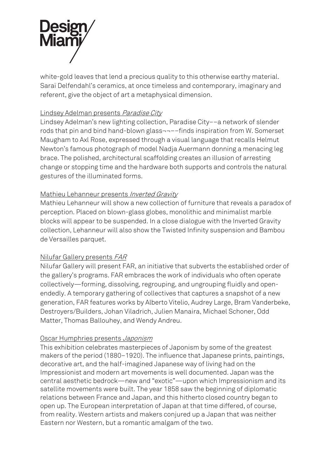

white-gold leaves that lend a precious quality to this otherwise earthy material. Saraï Delfendahl's ceramics, at once timeless and contemporary, imaginary and referent, give the object of art a metaphysical dimension.

#### Lindsey Adelman presents Paradise City

Lindsey Adelman's new lighting collection, Paradise City––a network of slender rods that pin and bind hand-blown glass¬¬––finds inspiration from W. Somerset Maugham to Axl Rose, expressed through a visual language that recalls Helmut Newton's famous photograph of model Nadja Auermann donning a menacing leg brace. The polished, architectural scaffolding creates an illusion of arresting change or stopping time and the hardware both supports and controls the natural gestures of the illuminated forms.

#### Mathieu Lehanneur presents Inverted Gravity

Mathieu Lehanneur will show a new collection of furniture that reveals a paradox of perception. Placed on blown-glass globes, monolithic and minimalist marble blocks will appear to be suspended. In a close dialogue with the Inverted Gravity collection, Lehanneur will also show the Twisted Infinity suspension and Bambou de Versailles parquet.

#### Nilufar Gallery presents FAR

Nilufar Gallery will present FAR, an initiative that subverts the established order of the gallery's programs. FAR embraces the work of individuals who often operate collectively—forming, dissolving, regrouping, and ungrouping fluidly and openendedly. A temporary gathering of collectives that captures a snapshot of a new generation, FAR features works by Alberto Vitelio, Audrey Large, Bram Vanderbeke, Destroyers/Builders, Johan Viladrich, Julien Manaira, Michael Schoner, Odd Matter, Thomas Ballouhey, and Wendy Andreu.

#### Oscar Humphries presents Japonism

This exhibition celebrates masterpieces of Japonism by some of the greatest makers of the period (1880–1920). The influence that Japanese prints, paintings, decorative art, and the half-imagined Japanese way of living had on the Impressionist and modern art movements is well documented. Japan was the central aesthetic bedrock—new and "exotic"—upon which Impressionism and its satellite movements were built. The year 1858 saw the beginning of diplomatic relations between France and Japan, and this hitherto closed country began to open up. The European interpretation of Japan at that time differed, of course, from reality. Western artists and makers conjured up a Japan that was neither Eastern nor Western, but a romantic amalgam of the two.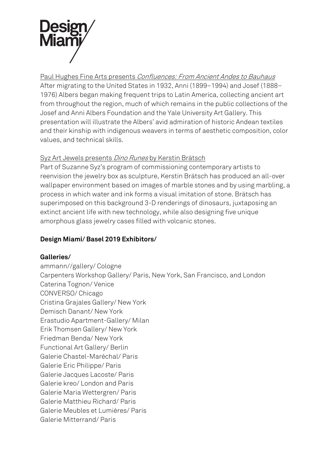

Paul Hughes Fine Arts presents Confluences: From Ancient Andes to Bauhaus After migrating to the United States in 1932, Anni (1899–1994) and Josef (1888– 1976) Albers began making frequent trips to Latin America, collecting ancient art from throughout the region, much of which remains in the public collections of the Josef and Anni Albers Foundation and the Yale University Art Gallery. This presentation will illustrate the Albers' avid admiration of historic Andean textiles and their kinship with indigenous weavers in terms of aesthetic composition, color values, and technical skills.

## Syz Art Jewels presents Dino Runes by Kerstin Brätsch

Part of Suzanne Syz's program of commissioning contemporary artists to reenvision the jewelry box as sculpture, Kerstin Brätsch has produced an all-over wallpaper environment based on images of marble stones and by using marbling, a process in which water and ink forms a visual imitation of stone. Brätsch has superimposed on this background 3-D renderings of dinosaurs, juxtaposing an extinct ancient life with new technology, while also designing five unique amorphous glass jewelry cases filled with volcanic stones.

# **Design Miami/ Basel 2019 Exhibitors/**

## **Galleries/**

ammann//gallery/ Cologne Carpenters Workshop Gallery/ Paris, New York, San Francisco, and London Caterina Tognon/ Venice CONVERSO/ Chicago Cristina Grajales Gallery/ New York Demisch Danant/ New York Erastudio Apartment-Gallery/ Milan Erik Thomsen Gallery/ New York Friedman Benda/ New York Functional Art Gallery/ Berlin Galerie Chastel-Maréchal/ Paris Galerie Eric Philippe/ Paris Galerie Jacques Lacoste/ Paris Galerie kreo/ London and Paris Galerie Maria Wettergren/ Paris Galerie Matthieu Richard/ Paris Galerie Meubles et Lumières/ Paris Galerie Mitterrand/ Paris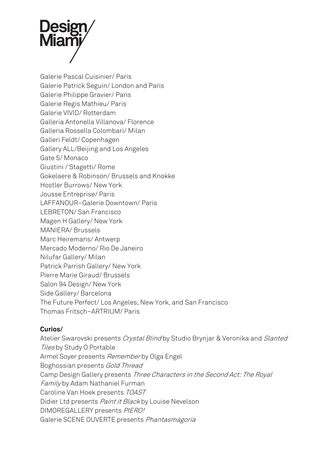

Galerie Pascal Cuisinier/ Paris Galerie Patrick Seguin/ London and Paris Galerie Philippe Gravier/ Paris Galerie Regis Mathieu/ Paris Galerie VIVID/ Rotterdam Galleria Antonella Villanova/ Florence Galleria Rossella Colombari/ Milan Galleri Feldt/ Copenhagen Gallery ALL/Beijing and Los Angeles Gate 5/ Monaco Giustini / Stagetti/ Rome Gokelaere & Robinson/ Brussels and Knokke Hostler Burrows/ New York Jousse Entreprise/ Paris LAFFANOUR–Galerie Downtown/ Paris LEBRETON/ San Francisco Magen H Gallery/ New York MANIERA/ Brussels Marc Heiremans/ Antwerp Mercado Moderno/ Rio De Janeiro Nilufar Gallery/ Milan Patrick Parrish Gallery/ New York Pierre Marie Giraud/ Brussels Salon 94 Design/ New York Side Gallery/ Barcelona The Future Perfect/ Los Angeles, New York, and San Francisco Thomas Fritsch–ARTRIUM/ Paris

#### **Curios/**

Atelier Swarovski presents Crystal Blind by Studio Brynjar & Veronika and Slanted Tiles by Study O Portable Armel Soyer presents Remember by Olga Engel Boghossian presents Gold Thread Camp Design Gallery presents Three Characters in the Second Act: The Royal Family by Adam Nathaniel Furman Caroline Van Hoek presents TOAST Didier Ltd presents Paint it Black by Louise Nevelson DIMOREGALLERY presents PIERO! Galerie SCENE OUVERTE presents Phantasmagoria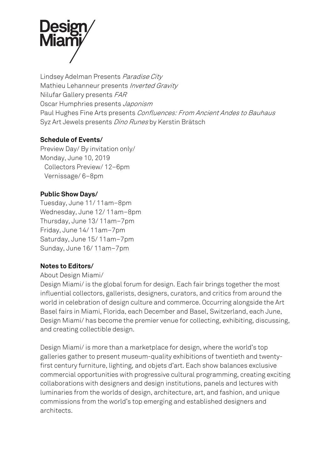

Lindsey Adelman Presents Paradise City Mathieu Lehanneur presents *Inverted Gravity* Nilufar Gallery presents FAR Oscar Humphries presents Japonism Paul Hughes Fine Arts presents Confluences: From Ancient Andes to Bauhaus Syz Art Jewels presents Dino Runes by Kerstin Brätsch

#### **Schedule of Events/**

Preview Day/ By invitation only/ Monday, June 10, 2019 Collectors Preview/ 12–6pm Vernissage/ 6–8pm

#### **Public Show Days/**

Tuesday, June 11/ 11am–8pm Wednesday, June 12/ 11am–8pm Thursday, June 13/ 11am–7pm Friday, June 14/ 11am–7pm Saturday, June 15/ 11am–7pm Sunday, June 16/ 11am–7pm

## **Notes to Editors/**

#### About Design Miami/

Design Miami/ is the global forum for design. Each fair brings together the most influential collectors, gallerists, designers, curators, and critics from around the world in celebration of design culture and commerce. Occurring alongside the Art Basel fairs in Miami, Florida, each December and Basel, Switzerland, each June, Design Miami/ has become the premier venue for collecting, exhibiting, discussing, and creating collectible design.

Design Miami/ is more than a marketplace for design, where the world's top galleries gather to present museum-quality exhibitions of twentieth and twentyfirst century furniture, lighting, and objets d'art. Each show balances exclusive commercial opportunities with progressive cultural programming, creating exciting collaborations with designers and design institutions, panels and lectures with luminaries from the worlds of design, architecture, art, and fashion, and unique commissions from the world's top emerging and established designers and architects.